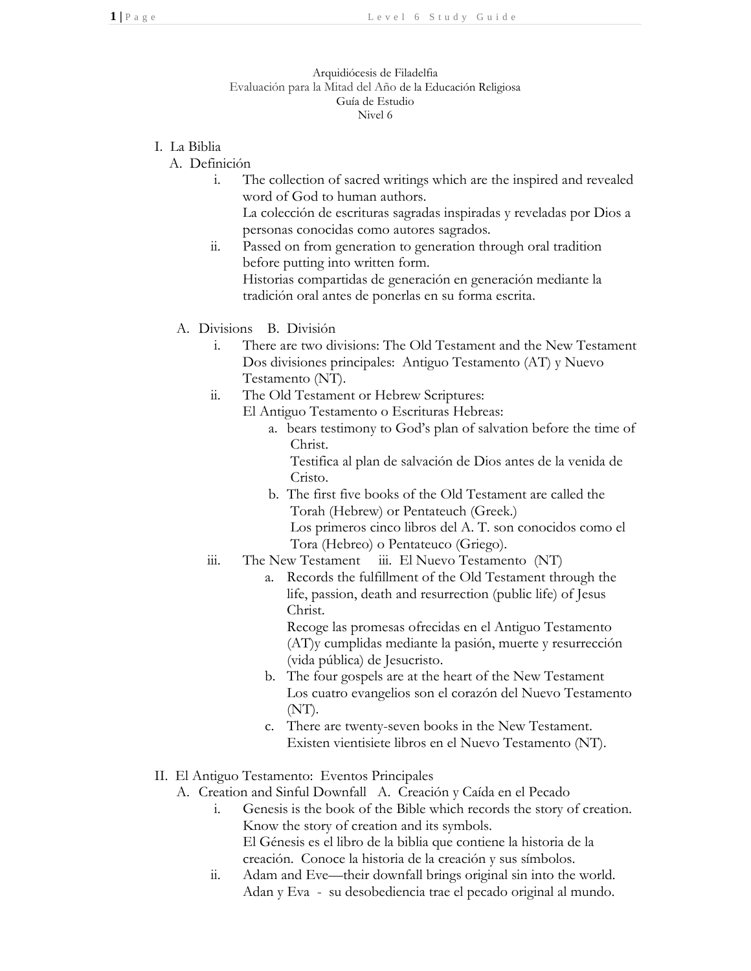## Arquidiócesis de Filadelfia Evaluación para la Mitad del Año de la Educación Religiosa Guía de Estudio Nivel 6

- I. La Biblia
	- A. Definición
		- i. The collection of sacred writings which are the inspired and revealed word of God to human authors. La colección de escrituras sagradas inspiradas y reveladas por Dios a
			- personas conocidas como autores sagrados.
		- ii. Passed on from generation to generation through oral tradition before putting into written form. Historias compartidas de generación en generación mediante la tradición oral antes de ponerlas en su forma escrita.
		- A. Divisions B. División
			- i. There are two divisions: The Old Testament and the New Testament Dos divisiones principales: Antiguo Testamento (AT) y Nuevo Testamento (NT).
			- ii. The Old Testament or Hebrew Scriptures:
				- El Antiguo Testamento o Escrituras Hebreas:
					- a. bears testimony to God's plan of salvation before the time of Christ.

Testifica al plan de salvación de Dios antes de la venida de Cristo.

- b. The first five books of the Old Testament are called the Torah (Hebrew) or Pentateuch (Greek.) Los primeros cinco libros del A. T. son conocidos como el Tora (Hebreo) o Pentateuco (Griego).
- iii. The New Testament iii. El Nuevo Testamento (NT)
	- a. Records the fulfillment of the Old Testament through the life, passion, death and resurrection (public life) of Jesus Christ.

Recoge las promesas ofrecidas en el Antiguo Testamento (AT)y cumplidas mediante la pasión, muerte y resurrección (vida pública) de Jesucristo.

- b. The four gospels are at the heart of the New Testament Los cuatro evangelios son el corazón del Nuevo Testamento (NT).
- c. There are twenty-seven books in the New Testament. Existen vientisiete libros en el Nuevo Testamento (NT).
- II. El Antiguo Testamento: Eventos Principales
	- A. Creation and Sinful Downfall A. Creación y Caída en el Pecado
		- i. Genesis is the book of the Bible which records the story of creation. Know the story of creation and its symbols. El Génesis es el libro de la biblia que contiene la historia de la creación. Conoce la historia de la creación y sus símbolos.
		- ii. Adam and Eve—their downfall brings original sin into the world. Adan y Eva - su desobediencia trae el pecado original al mundo.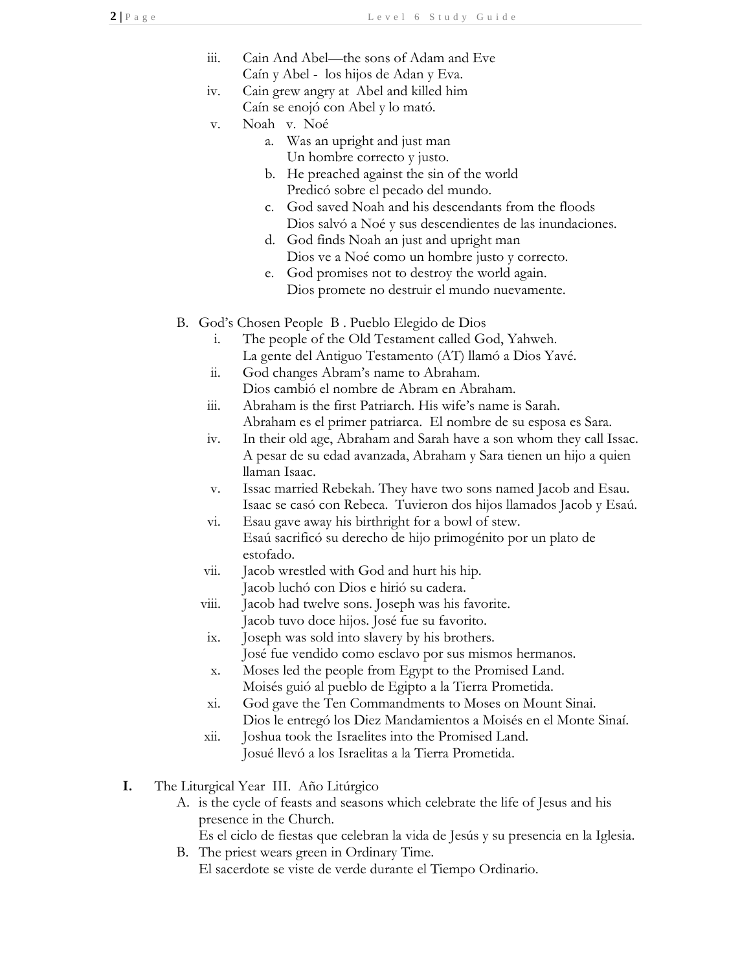- iii. Cain And Abel—the sons of Adam and Eve Caín y Abel - los hijos de Adan y Eva.
- iv. Cain grew angry at Abel and killed him Caín se enojó con Abel y lo mató.
- v. Noah v. Noé
	- a. Was an upright and just man Un hombre correcto y justo.
	- b. He preached against the sin of the world Predicó sobre el pecado del mundo.
	- c. God saved Noah and his descendants from the floods Dios salvó a Noé y sus descendientes de las inundaciones.
	- d. God finds Noah an just and upright man Dios ve a Noé como un hombre justo y correcto.
	- e. God promises not to destroy the world again. Dios promete no destruir el mundo nuevamente.
- B. God's Chosen People B . Pueblo Elegido de Dios
	- i. The people of the Old Testament called God, Yahweh. La gente del Antiguo Testamento (AT) llamó a Dios Yavé.
	- ii. God changes Abram's name to Abraham. Dios cambió el nombre de Abram en Abraham.
	- iii. Abraham is the first Patriarch. His wife's name is Sarah. Abraham es el primer patriarca. El nombre de su esposa es Sara.
	- iv. In their old age, Abraham and Sarah have a son whom they call Issac. A pesar de su edad avanzada, Abraham y Sara tienen un hijo a quien llaman Isaac.
	- v. Issac married Rebekah. They have two sons named Jacob and Esau. Isaac se casó con Rebeca. Tuvieron dos hijos llamados Jacob y Esaú.
	- vi. Esau gave away his birthright for a bowl of stew. Esaú sacrificó su derecho de hijo primogénito por un plato de estofado.
	- vii. Jacob wrestled with God and hurt his hip. Jacob luchó con Dios e hirió su cadera.
	- viii. Jacob had twelve sons. Joseph was his favorite. Jacob tuvo doce hijos. José fue su favorito.
	- ix. Joseph was sold into slavery by his brothers. José fue vendido como esclavo por sus mismos hermanos.
	- x. Moses led the people from Egypt to the Promised Land. Moisés guió al pueblo de Egipto a la Tierra Prometida.
	- xi. God gave the Ten Commandments to Moses on Mount Sinai. Dios le entregó los Diez Mandamientos a Moisés en el Monte Sinaí.
	- xii. Joshua took the Israelites into the Promised Land. Josué llevó a los Israelitas a la Tierra Prometida.
- **I.** The Liturgical Year III. Año Litúrgico
	- A. is the cycle of feasts and seasons which celebrate the life of Jesus and his presence in the Church.
		- Es el ciclo de fiestas que celebran la vida de Jesús y su presencia en la Iglesia.
	- B. The priest wears green in Ordinary Time. El sacerdote se viste de verde durante el Tiempo Ordinario.